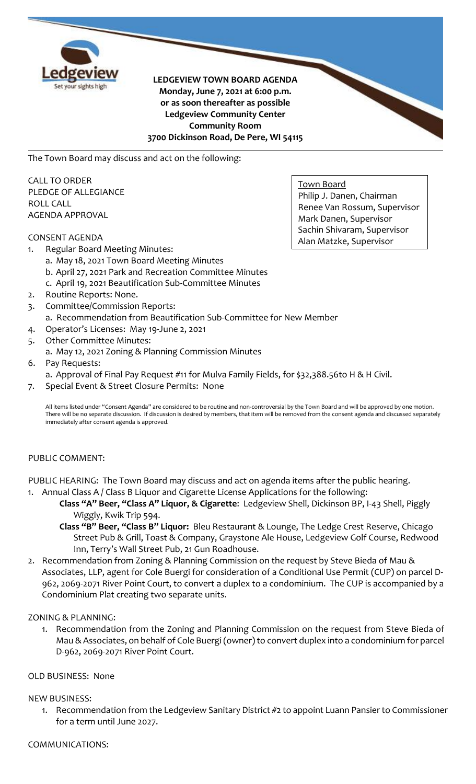

**LEDGEVIEW TOWN BOARD AGENDA Monday, June 7, 2021 at 6:00 p.m. or as soon thereafter as possible Ledgeview Community Center Community Room 3700 Dickinson Road, De Pere, WI 54115**

The Town Board may discuss and act on the following:

CALL TO ORDER PLEDGE OF ALLEGIANCE ROLL CALL AGENDA APPROVAL

# CONSENT AGENDA

Town Board Philip J. Danen, Chairman Renee Van Rossum, Supervisor Mark Danen, Supervisor Sachin Shivaram, Supervisor Alan Matzke, Supervisor

- 1. Regular Board Meeting Minutes:
	- a. May 18, 2021 Town Board Meeting Minutes
		- b. April 27, 2021 Park and Recreation Committee Minutes
	- c. April 19, 2021 Beautification Sub-Committee Minutes
- 2. Routine Reports: None.
- 3. Committee/Commission Reports: a. Recommendation from Beautification Sub-Committee for New Member
- 4. Operator's Licenses: May 19-June 2, 2021
- 5. Other Committee Minutes:
- a. May 12, 2021 Zoning & Planning Commission Minutes
- 6. Pay Requests:
	- a. Approval of Final Pay Request #11 for Mulva Family Fields, for \$32,388.56to H & H Civil.
- 7. Special Event & Street Closure Permits: None

All items listed under "Consent Agenda" are considered to be routine and non-controversial by the Town Board and will be approved by one motion. There will be no separate discussion. If discussion is desired by members, that item will be removed from the consent agenda and discussed separately immediately after consent agenda is approved.

# PUBLIC COMMENT:

PUBLIC HEARING: The Town Board may discuss and act on agenda items after the public hearing. 1. Annual Class A / Class B Liquor and Cigarette License Applications for the following:

- **Class "A" Beer, "Class A" Liquor, & Cigarette**: Ledgeview Shell, Dickinson BP, I-43 Shell, Piggly Wiggly, Kwik Trip 594.
- **Class "B" Beer, "Class B" Liquor:** Bleu Restaurant & Lounge, The Ledge Crest Reserve, Chicago Street Pub & Grill, Toast & Company, Graystone Ale House, Ledgeview Golf Course, Redwood Inn, Terry's Wall Street Pub, 21 Gun Roadhouse.
- 2. Recommendation from Zoning & Planning Commission on the request by Steve Bieda of Mau & Associates, LLP, agent for Cole Buergi for consideration of a Conditional Use Permit (CUP) on parcel D-962, 2069-2071 River Point Court, to convert a duplex to a condominium. The CUP is accompanied by a Condominium Plat creating two separate units.

# ZONING & PLANNING:

1. Recommendation from the Zoning and Planning Commission on the request from Steve Bieda of Mau & Associates, on behalf of Cole Buergi (owner) to convert duplex into a condominium for parcel D-962, 2069-2071 River Point Court.

# OLD BUSINESS: None

# NEW BUSINESS:

1. Recommendation from the Ledgeview Sanitary District #2 to appoint Luann Pansier to Commissioner for a term until June 2027.

# COMMUNICATIONS: